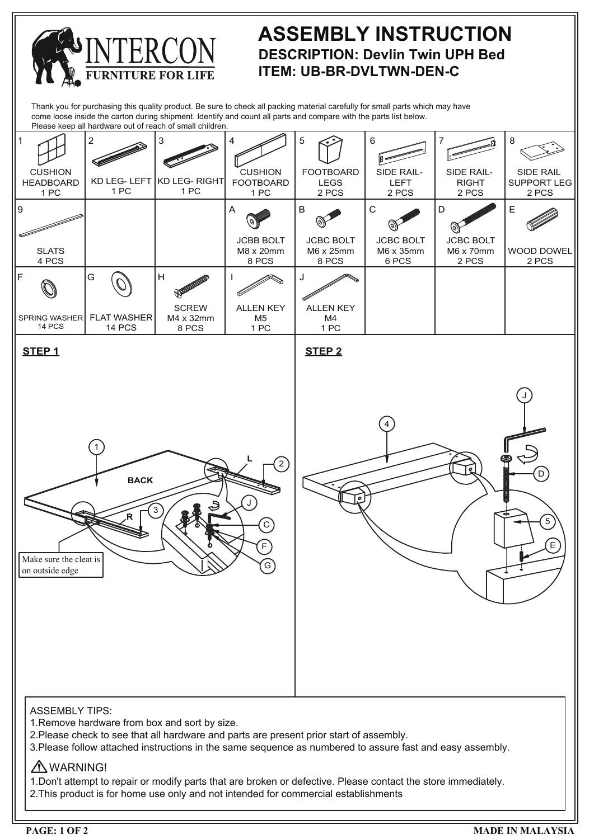